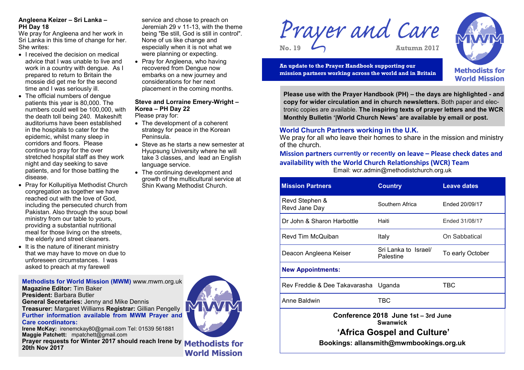## **Angleena Keizer – Sri Lanka – PH Day 18**

We pray for Angleena and her work in Sri Lanka in this time of change for her. She writes:

- I received the decision on medical advice that I was unable to live and work in a country with dengue. As I prepared to return to Britain the mossie did get me for the second time and I was seriously ill.
- The official numbers of dengue patients this year is 80,000. The numbers could well be 100,000, with the death toll being 240. Makeshift auditoriums have been established in the hospitals to cater for the epidemic, whilst many sleep in corridors and floors. Please continue to pray for the over stretched hospital staff as they work night and day seeking to save patients, and for those battling the disease.
- Pray for Kollupitiya Methodist Church congregation as together we have reached out with the love of God, including the persecuted church from Pakistan. Also through the soup bowl ministry from our table to yours, providing a substantial nutritional meal for those living on the streets, the elderly and street cleaners.
- $\bullet$  It is the nature of itinerant ministry that we may have to move on due to unforeseen circumstances. I was asked to preach at my farewell

**Methodists for World Mission (MWM)** www.mwm.org.uk **Magazine Editor:** Tim Baker **President:** Barbara Butler **General Secretaries:** Jenny and Mike Dennis

**Treasurer:** Margaret Williams **Registrar:** Gillian Pengelly **Further information available from MWM Prayer and Care coordinators:**

**Irene McKay:** irenemckay80@gmail.com Tel: 01539 561881 **Maggie Patchett:** mpatchett@gmail.com **Prayer requests for Winter 2017 should reach Irene by Methodists for 20th Nov 2017**

#### service and chose to preach on Jeremiah 29 v 11-13, with the theme being "Be still, God is still in control". None of us like change and especially when it is not what we were planning or expecting.

• Pray for Angleena, who having recovered from Dengue now embarks on a new journey and considerations for her next placement in the coming months.

# **Steve and Lorraine Emery-Wright – Korea – PH Day 22**

Please pray for:

- The development of a coherent strategy for peace in the Korean Peninsula.
- Steve as he starts a new semester at Hyupsung University where he will take 3 classes, and lead an English language service.
- The continuing development and growth of the multicultural service at Shin Kwang Methodist Church.



**World Mission** 

Prayer and Care **No. 19 Autumn 2017**

**Methodists for World Mission** 

**An update to the Prayer Handbook supporting our mission partners working across the world and in Britain**

**Please use with the Prayer Handbook (PH) – the days are highlighted - and copy for wider circulation and in church newsletters.** Both paper and electronic copies are available. **The inspiring texts of prayer letters and the WCR Monthly Bulletin '|World Church News' are available by email or post.**

# **World Church Partners working in the U.K.**

We pray for all who leave their homes to share in the mission and ministry of the church.

## **Mission partners currently or recently on leave – Please check dates and availability with the World Church Relationships (WCR) Team** Email: wcr.admin@methodistchurch.org.uk

| <b>Mission Partners</b>                                                                                                          | <b>Country</b>                    | <b>Leave dates</b> |
|----------------------------------------------------------------------------------------------------------------------------------|-----------------------------------|--------------------|
| Revd Stephen &<br>Revd Jane Day                                                                                                  | Southern Africa                   | Ended 20/09/17     |
| Dr John & Sharon Harbottle                                                                                                       | Haiti                             | Ended 31/08/17     |
| Revd Tim McQuiban                                                                                                                | Italy                             | On Sabbatical      |
| Deacon Angleena Keiser                                                                                                           | Sri Lanka to Israel/<br>Palestine | To early October   |
| <b>New Appointments:</b>                                                                                                         |                                   |                    |
| Rev Freddie & Dee Takavarasha Uganda                                                                                             |                                   | TBC                |
| Anne Baldwin                                                                                                                     | TBC                               |                    |
| Conference 2018 June 1st - 3rd June<br><b>Swanwick</b><br>'Africa Gospel and Culture'<br>Bookings: allansmith@mwmbookings.org.uk |                                   |                    |